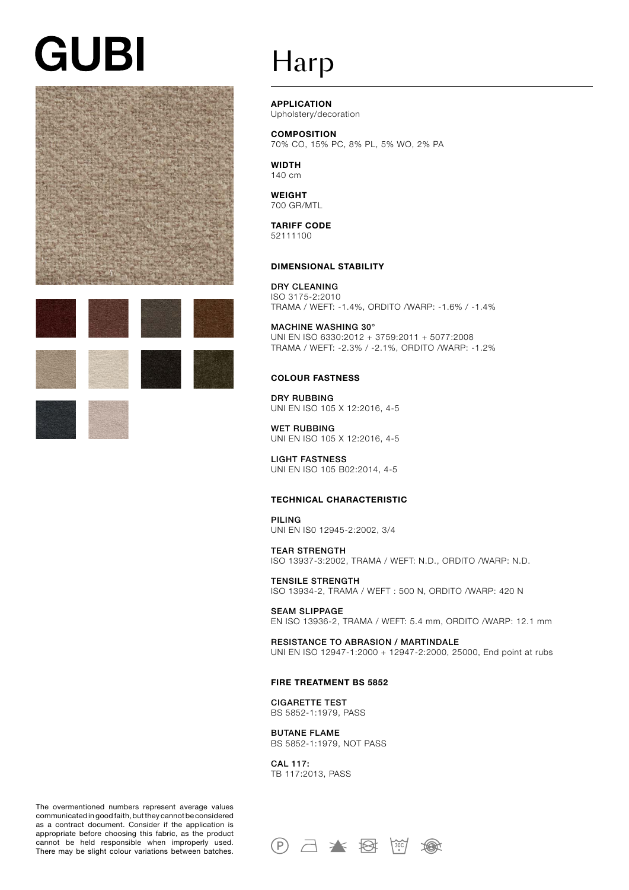# **GUBI**





### Harp

APPLICATION

Upholstery/decoration

**COMPOSITION** 70% CO, 15% PC, 8% PL, 5% WO, 2% PA

**WIDTH** 140 cm

WEIGHT 700 GR/MTL

TARIFF CODE 52111100

#### DIMENSIONAL STABILITY

DRY CLEANING ISO 3175-2:2010 TRAMA / WEFT: -1.4%, ORDITO /WARP: -1.6% / -1.4%

MACHINE WASHING 30° UNI EN ISO 6330:2012 + 3759:2011 + 5077:2008 TRAMA / WEFT: -2.3% / -2.1%, ORDITO /WARP: -1.2%

#### COLOUR FASTNESS

DRY RUBBING UNI EN ISO 105 X 12:2016, 4-5

WET RUBBING UNI EN ISO 105 X 12:2016, 4-5

LIGHT FASTNESS UNI EN ISO 105 B02:2014, 4-5

#### TECHNICAL CHARACTERISTIC

PILING UNI EN IS0 12945-2:2002, 3/4

TEAR STRENGTH ISO 13937-3:2002, TRAMA / WEFT: N.D., ORDITO /WARP: N.D.

TENSILE STRENGTH ISO 13934-2, TRAMA / WEFT : 500 N, ORDITO /WARP: 420 N

SEAM SLIPPAGE EN ISO 13936-2, TRAMA / WEFT: 5.4 mm, ORDITO /WARP: 12.1 mm

RESISTANCE TO ABRASION / MARTINDALE UNI EN ISO 12947-1:2000 + 12947-2:2000, 25000, End point at rubs

#### FIRE TREATMENT BS 5852

CIGARETTE TEST BS 5852-1:1979, PASS

BUTANE FLAME BS 5852-1:1979, NOT PASS

CAL 117: TB 117:2013, PASS

The overmentioned numbers represent average values communicated in good faith, but they cannot be considered as a contract document. Consider if the application is appropriate before choosing this fabric, as the product cannot be held responsible when improperly used. There may be slight colour variations between batches.